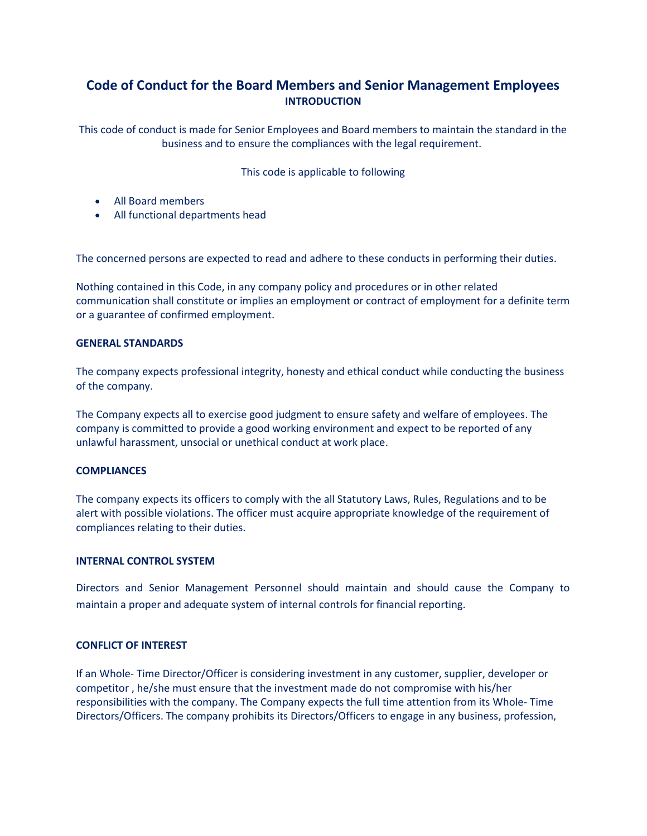# Code of Conduct for the Board Members and Senior Management Employees INTRODUCTION

This code of conduct is made for Senior Employees and Board members to maintain the standard in the business and to ensure the compliances with the legal requirement.

This code is applicable to following

- All Board members
- All functional departments head

The concerned persons are expected to read and adhere to these conducts in performing their duties.

Nothing contained in this Code, in any company policy and procedures or in other related communication shall constitute or implies an employment or contract of employment for a definite term or a guarantee of confirmed employment.

# GENERAL STANDARDS

The company expects professional integrity, honesty and ethical conduct while conducting the business of the company.

The Company expects all to exercise good judgment to ensure safety and welfare of employees. The company is committed to provide a good working environment and expect to be reported of any unlawful harassment, unsocial or unethical conduct at work place.

# **COMPLIANCES**

The company expects its officers to comply with the all Statutory Laws, Rules, Regulations and to be alert with possible violations. The officer must acquire appropriate knowledge of the requirement of compliances relating to their duties.

# INTERNAL CONTROL SYSTEM

Directors and Senior Management Personnel should maintain and should cause the Company to maintain a proper and adequate system of internal controls for financial reporting.

# CONFLICT OF INTEREST

If an Whole- Time Director/Officer is considering investment in any customer, supplier, developer or competitor , he/she must ensure that the investment made do not compromise with his/her responsibilities with the company. The Company expects the full time attention from its Whole- Time Directors/Officers. The company prohibits its Directors/Officers to engage in any business, profession,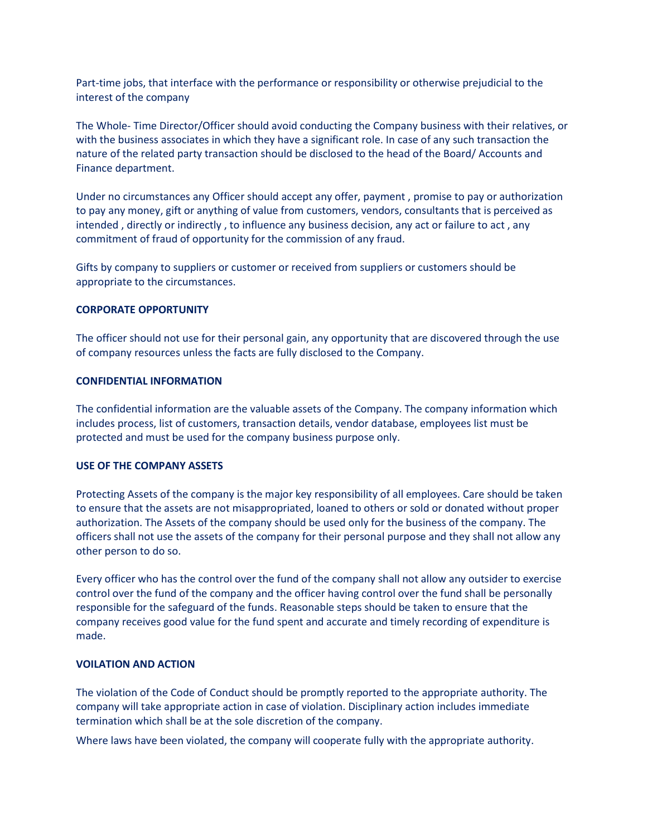Part-time jobs, that interface with the performance or responsibility or otherwise prejudicial to the interest of the company

The Whole- Time Director/Officer should avoid conducting the Company business with their relatives, or with the business associates in which they have a significant role. In case of any such transaction the nature of the related party transaction should be disclosed to the head of the Board/ Accounts and Finance department.

Under no circumstances any Officer should accept any offer, payment , promise to pay or authorization to pay any money, gift or anything of value from customers, vendors, consultants that is perceived as intended , directly or indirectly , to influence any business decision, any act or failure to act , any commitment of fraud of opportunity for the commission of any fraud.

Gifts by company to suppliers or customer or received from suppliers or customers should be appropriate to the circumstances.

#### CORPORATE OPPORTUNITY

The officer should not use for their personal gain, any opportunity that are discovered through the use of company resources unless the facts are fully disclosed to the Company.

#### CONFIDENTIAL INFORMATION

The confidential information are the valuable assets of the Company. The company information which includes process, list of customers, transaction details, vendor database, employees list must be protected and must be used for the company business purpose only.

#### USE OF THE COMPANY ASSETS

Protecting Assets of the company is the major key responsibility of all employees. Care should be taken to ensure that the assets are not misappropriated, loaned to others or sold or donated without proper authorization. The Assets of the company should be used only for the business of the company. The officers shall not use the assets of the company for their personal purpose and they shall not allow any other person to do so.

Every officer who has the control over the fund of the company shall not allow any outsider to exercise control over the fund of the company and the officer having control over the fund shall be personally responsible for the safeguard of the funds. Reasonable steps should be taken to ensure that the company receives good value for the fund spent and accurate and timely recording of expenditure is made.

### VOILATION AND ACTION

The violation of the Code of Conduct should be promptly reported to the appropriate authority. The company will take appropriate action in case of violation. Disciplinary action includes immediate termination which shall be at the sole discretion of the company.

Where laws have been violated, the company will cooperate fully with the appropriate authority.